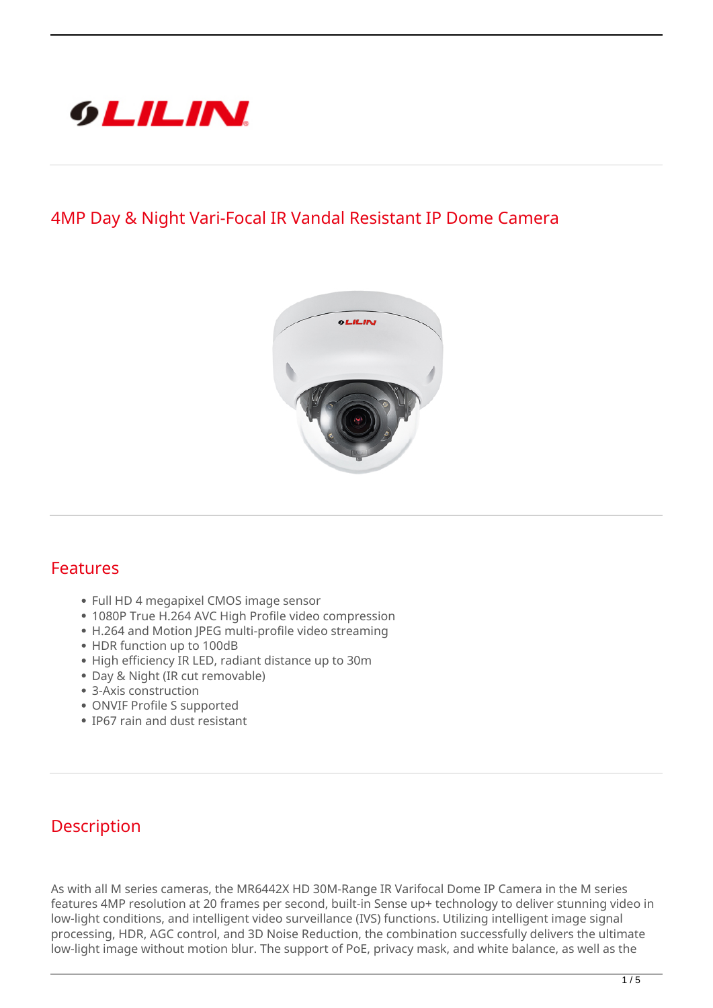

## **4MP Day & Night Vari-Focal IR Vandal Resistant IP Dome Camera**



## **Features**

- Full HD 4 megapixel CMOS image sensor
- 1080P True H.264 AVC High Profile video compression
- H.264 and Motion JPEG multi-profile video streaming
- HDR function up to 100dB
- High efficiency IR LED, radiant distance up to 30m
- Day & Night (IR cut removable)
- 3-Axis construction
- ONVIF Profile S supported
- IP67 rain and dust resistant

## **Description**

As with all M series cameras, the MR6442X HD 30M-Range IR Varifocal Dome IP Camera in the M series features 4MP resolution at 20 frames per second, built-in Sense up+ technology to deliver stunning video in low-light conditions, and intelligent video surveillance (IVS) functions. Utilizing intelligent image signal processing, HDR, AGC control, and 3D Noise Reduction, the combination successfully delivers the ultimate low-light image without motion blur. The support of PoE, privacy mask, and white balance, as well as the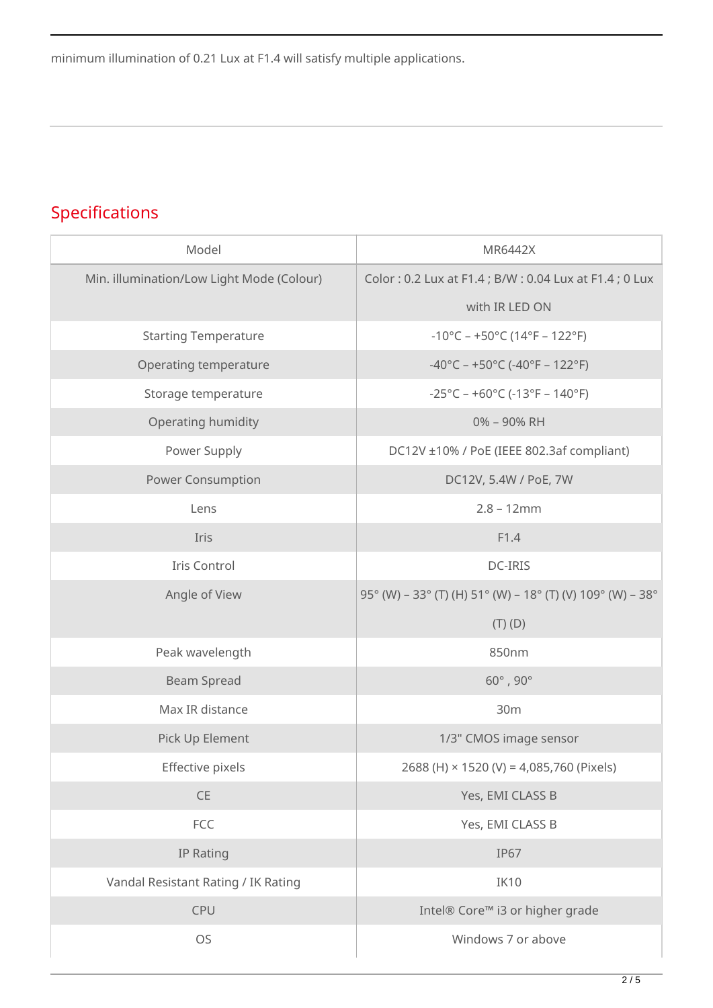minimum illumination of 0.21 Lux at F1.4 will satisfy multiple applications.

## **Specifications**

| Model                                     | MR6442X                                                                  |
|-------------------------------------------|--------------------------------------------------------------------------|
| Min. illumination/Low Light Mode (Colour) | Color: 0.2 Lux at F1.4; B/W: 0.04 Lux at F1.4; 0 Lux                     |
|                                           | with IR LED ON                                                           |
| <b>Starting Temperature</b>               | $-10^{\circ}$ C – +50 $^{\circ}$ C (14 $^{\circ}$ F – 122 $^{\circ}$ F)  |
| Operating temperature                     | $-40^{\circ}$ C – +50°C (-40°F – 122°F)                                  |
| Storage temperature                       | $-25^{\circ}$ C – +60 $^{\circ}$ C (-13 $^{\circ}$ F – 140 $^{\circ}$ F) |
| Operating humidity                        | 0% - 90% RH                                                              |
| Power Supply                              | DC12V ±10% / PoE (IEEE 802.3af compliant)                                |
| <b>Power Consumption</b>                  | DC12V, 5.4W / PoE, 7W                                                    |
| Lens                                      | $2.8 - 12mm$                                                             |
| Iris                                      | F1.4                                                                     |
| Iris Control                              | DC-IRIS                                                                  |
| Angle of View                             | 95° (W) - 33° (T) (H) 51° (W) - 18° (T) (V) 109° (W) - 38°               |
|                                           | $(T)$ $(D)$                                                              |
| Peak wavelength                           | 850nm                                                                    |
| <b>Beam Spread</b>                        | $60^\circ$ , $90^\circ$                                                  |
| Max IR distance                           | 30m                                                                      |
| Pick Up Element                           | 1/3" CMOS image sensor                                                   |
| Effective pixels                          | 2688 (H) × 1520 (V) = 4,085,760 (Pixels)                                 |
| $\mathsf{CE}$                             | Yes, EMI CLASS B                                                         |
| FCC                                       | Yes, EMI CLASS B                                                         |
| IP Rating                                 | <b>IP67</b>                                                              |
| Vandal Resistant Rating / IK Rating       | IK10                                                                     |
| CPU                                       | Intel® Core™ i3 or higher grade                                          |
| OS                                        | Windows 7 or above                                                       |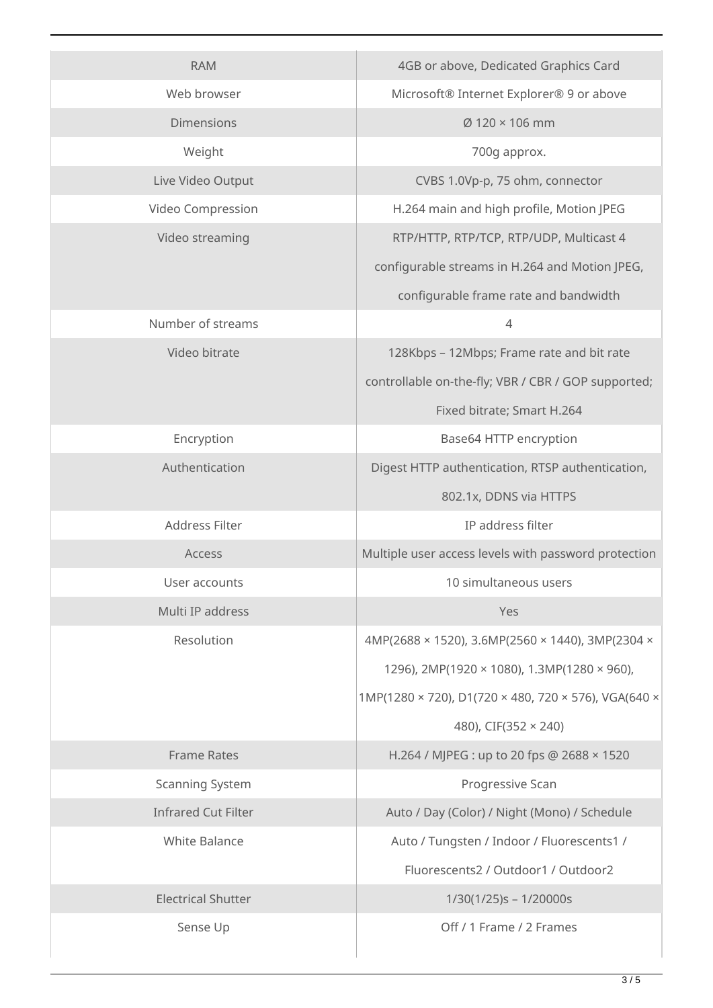| <b>RAM</b>                 | 4GB or above, Dedicated Graphics Card                |
|----------------------------|------------------------------------------------------|
| Web browser                | Microsoft® Internet Explorer® 9 or above             |
| <b>Dimensions</b>          | Ø 120 × 106 mm                                       |
| Weight                     | 700g approx.                                         |
| Live Video Output          | CVBS 1.0Vp-p, 75 ohm, connector                      |
| Video Compression          | H.264 main and high profile, Motion JPEG             |
| Video streaming            | RTP/HTTP, RTP/TCP, RTP/UDP, Multicast 4              |
|                            | configurable streams in H.264 and Motion JPEG,       |
|                            | configurable frame rate and bandwidth                |
| Number of streams          | $\overline{4}$                                       |
| Video bitrate              | 128Kbps - 12Mbps; Frame rate and bit rate            |
|                            | controllable on-the-fly; VBR / CBR / GOP supported;  |
|                            | Fixed bitrate; Smart H.264                           |
| Encryption                 | Base64 HTTP encryption                               |
| Authentication             | Digest HTTP authentication, RTSP authentication,     |
|                            | 802.1x, DDNS via HTTPS                               |
| Address Filter             | IP address filter                                    |
| Access                     | Multiple user access levels with password protection |
| User accounts              | 10 simultaneous users                                |
| Multi IP address           | Yes                                                  |
| Resolution                 | 4MP(2688 × 1520), 3.6MP(2560 × 1440), 3MP(2304 ×     |
|                            | 1296), 2MP(1920 × 1080), 1.3MP(1280 × 960),          |
|                            | 1MP(1280 × 720), D1(720 × 480, 720 × 576), VGA(640 × |
|                            | 480), CIF(352 × 240)                                 |
| <b>Frame Rates</b>         | H.264 / MJPEG : up to 20 fps @ 2688 × 1520           |
| <b>Scanning System</b>     | Progressive Scan                                     |
| <b>Infrared Cut Filter</b> | Auto / Day (Color) / Night (Mono) / Schedule         |
| <b>White Balance</b>       | Auto / Tungsten / Indoor / Fluorescents1 /           |
|                            | Fluorescents2 / Outdoor1 / Outdoor2                  |
| <b>Electrical Shutter</b>  | $1/30(1/25)s - 1/20000s$                             |
| Sense Up                   | Off / 1 Frame / 2 Frames                             |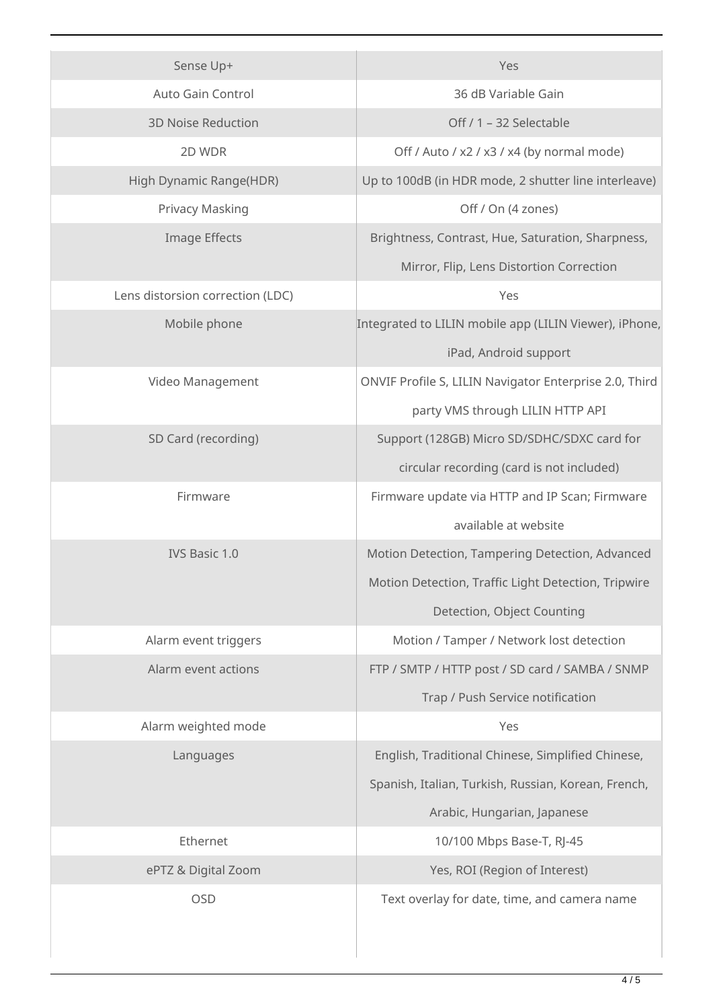| Sense Up+                        | Yes                                                    |
|----------------------------------|--------------------------------------------------------|
| Auto Gain Control                | 36 dB Variable Gain                                    |
| <b>3D Noise Reduction</b>        | Off / 1 - 32 Selectable                                |
| 2D WDR                           | Off / Auto / x2 / x3 / x4 (by normal mode)             |
| High Dynamic Range(HDR)          | Up to 100dB (in HDR mode, 2 shutter line interleave)   |
| Privacy Masking                  | Off / On (4 zones)                                     |
| <b>Image Effects</b>             | Brightness, Contrast, Hue, Saturation, Sharpness,      |
|                                  | Mirror, Flip, Lens Distortion Correction               |
| Lens distorsion correction (LDC) | Yes                                                    |
| Mobile phone                     | Integrated to LILIN mobile app (LILIN Viewer), iPhone, |
|                                  | iPad, Android support                                  |
| Video Management                 | ONVIF Profile S, LILIN Navigator Enterprise 2.0, Third |
|                                  | party VMS through LILIN HTTP API                       |
| SD Card (recording)              | Support (128GB) Micro SD/SDHC/SDXC card for            |
|                                  | circular recording (card is not included)              |
| Firmware                         | Firmware update via HTTP and IP Scan; Firmware         |
|                                  | available at website                                   |
| IVS Basic 1.0                    | Motion Detection, Tampering Detection, Advanced        |
|                                  | Motion Detection, Traffic Light Detection, Tripwire    |
|                                  | Detection, Object Counting                             |
| Alarm event triggers             | Motion / Tamper / Network lost detection               |
| Alarm event actions              | FTP / SMTP / HTTP post / SD card / SAMBA / SNMP        |
|                                  | Trap / Push Service notification                       |
| Alarm weighted mode              | Yes                                                    |
| Languages                        | English, Traditional Chinese, Simplified Chinese,      |
|                                  | Spanish, Italian, Turkish, Russian, Korean, French,    |
|                                  | Arabic, Hungarian, Japanese                            |
| Ethernet                         | 10/100 Mbps Base-T, RJ-45                              |
| ePTZ & Digital Zoom              | Yes, ROI (Region of Interest)                          |
| <b>OSD</b>                       | Text overlay for date, time, and camera name           |